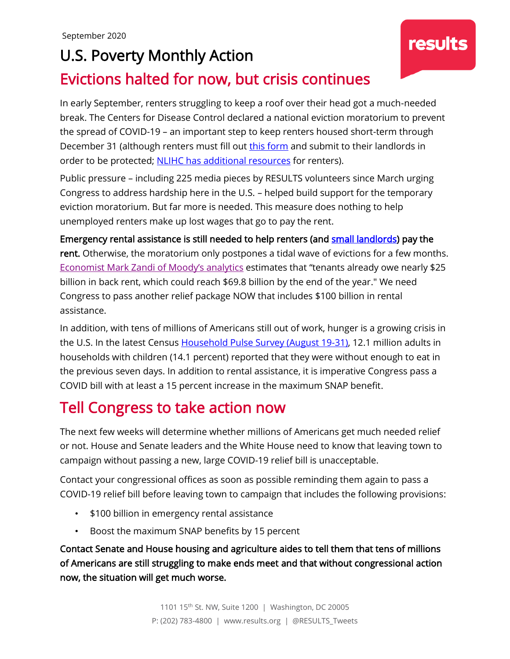## U.S. Poverty Monthly Action

### Evictions halted for now, but crisis continues

In early September, renters struggling to keep a roof over their head got a much-needed break. The Centers for Disease Control declared a national eviction moratorium to prevent the spread of COVID-19 – an important step to keep renters housed short-term through December 31 (although renters must fill out [this form](https://www.cdc.gov/coronavirus/2019-ncov/downloads/declaration-form.pdf) and submit to their landlords in order to be protected; [NLIHC has additional](https://mailchi.mp/nlihc.org/cta_090420-1202466?e=168ba82720) resources for renters).

Public pressure – including 225 media pieces by RESULTS volunteers since March urging Congress to address hardship here in the U.S. – helped build support for the temporary eviction moratorium. But far more is needed. This measure does nothing to help unemployed renters make up lost wages that go to pay the rent.

Emergency rental assistance is still needed to help renters (and [small landlords\)](https://www.cnbc.com/2020/08/24/small-landlords-dip-into-savings-as-their-tenants-struggle-to-pay-rent.html?__source=sharebar|twitter&par=sharebar) pay the rent. Otherwise, the moratorium only postpones a tidal wave of evictions for a few months. [Economist Mark Zandi of](https://www.washingtonpost.com/business/2020/08/06/trump-eviction-moratorium) Moody's analytics estimates that "tenants already owe nearly \$25 billion in back rent, which could reach \$69.8 billion by the end of the year." We need Congress to pass another relief package NOW that includes \$100 billion in rental assistance.

In addition, with tens of millions of Americans still out of work, hunger is a growing crisis in the U.S. In the latest Census [Household Pulse Survey \(August 19-31\),](https://www.census.gov/data/tables/2020/demo/hhp/hhp13.html) 12.1 million adults in households with children (14.1 percent) reported that they were without enough to eat in the previous seven days. In addition to rental assistance, it is imperative Congress pass a COVID bill with at least a 15 percent increase in the maximum SNAP benefit.

## Tell Congress to take action now

The next few weeks will determine whether millions of Americans get much needed relief or not. House and Senate leaders and the White House need to know that leaving town to campaign without passing a new, large COVID-19 relief bill is unacceptable.

Contact your congressional offices as soon as possible reminding them again to pass a COVID-19 relief bill before leaving town to campaign that includes the following provisions:

- \$100 billion in emergency rental assistance
- Boost the maximum SNAP benefits by 15 percent

Contact Senate and House housing and agriculture aides to tell them that tens of millions of Americans are still struggling to make ends meet and that without congressional action now, the situation will get much worse.